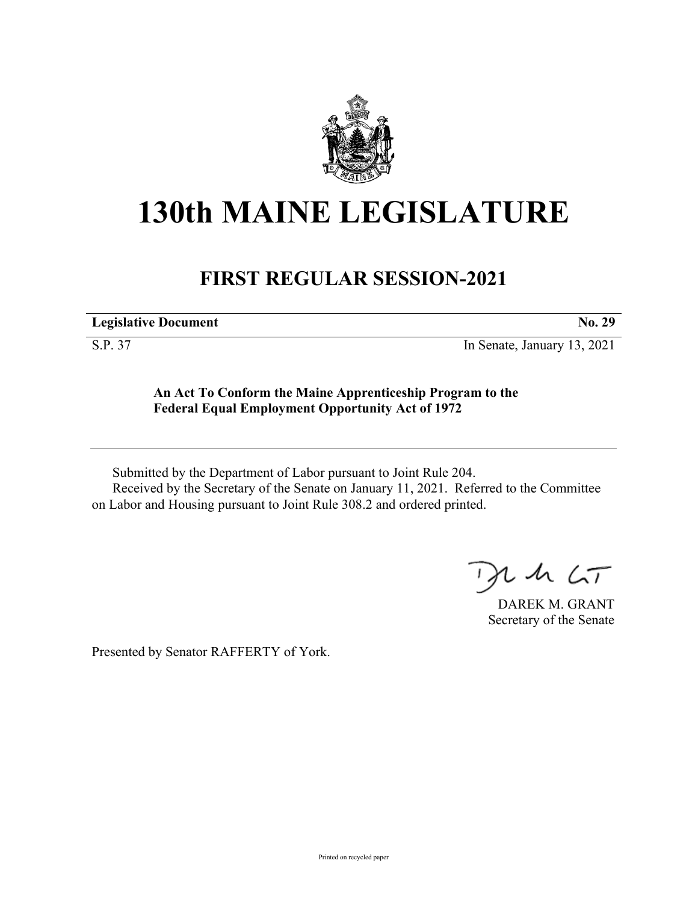

## **130th MAINE LEGISLATURE**

## **FIRST REGULAR SESSION-2021**

**Legislative Document No. 29**

S.P. 37 In Senate, January 13, 2021

## **An Act To Conform the Maine Apprenticeship Program to the Federal Equal Employment Opportunity Act of 1972**

Submitted by the Department of Labor pursuant to Joint Rule 204. Received by the Secretary of the Senate on January 11, 2021. Referred to the Committee on Labor and Housing pursuant to Joint Rule 308.2 and ordered printed.

 $125$ 

DAREK M. GRANT Secretary of the Senate

Presented by Senator RAFFERTY of York.